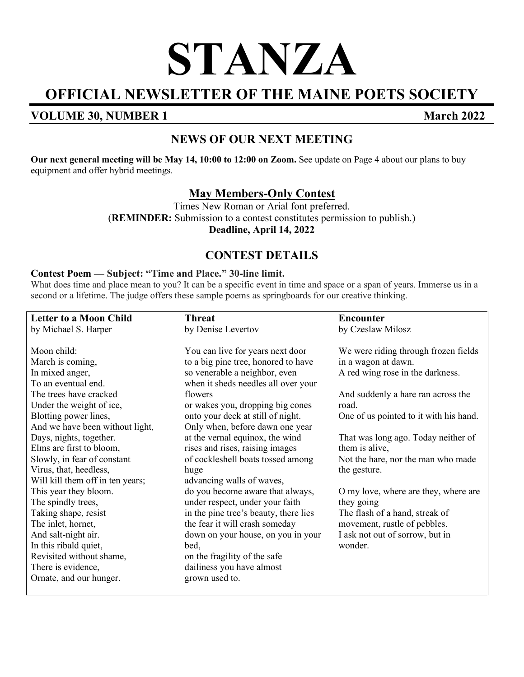# **STANZA**

# **OFFICIAL NEWSLETTER OF THE MAINE POETS SOCIETY**

## **VOLUME 30, NUMBER 1 March 2022**

# **NEWS OF OUR NEXT MEETING**

**Our next general meeting will be May 14, 10:00 to 12:00 on Zoom.** See update on Page 4 about our plans to buy equipment and offer hybrid meetings.

#### **May Members-Only Contest**

Times New Roman or Arial font preferred. (**REMINDER:** Submission to a contest constitutes permission to publish.) **Deadline, April 14, 2022**

# **CONTEST DETAILS**

#### **Contest Poem — Subject: "Time and Place." 30-line limit.**

What does time and place mean to you? It can be a specific event in time and space or a span of years. Immerse us in a second or a lifetime. The judge offers these sample poems as springboards for our creative thinking.

| <b>Letter to a Moon Child</b>    | <b>Threat</b>                         | <b>Encounter</b>                       |
|----------------------------------|---------------------------------------|----------------------------------------|
| by Michael S. Harper             | by Denise Levertov                    | by Czeslaw Milosz                      |
|                                  |                                       |                                        |
| Moon child:                      | You can live for years next door      | We were riding through frozen fields   |
| March is coming,                 | to a big pine tree, honored to have   | in a wagon at dawn.                    |
| In mixed anger,                  | so venerable a neighbor, even         | A red wing rose in the darkness.       |
| To an eventual end.              | when it sheds needles all over your   |                                        |
| The trees have cracked           | flowers                               | And suddenly a hare ran across the     |
| Under the weight of ice,         | or wakes you, dropping big cones      | road.                                  |
| Blotting power lines,            | onto your deck at still of night.     | One of us pointed to it with his hand. |
| And we have been without light,  | Only when, before dawn one year       |                                        |
| Days, nights, together.          | at the vernal equinox, the wind       | That was long ago. Today neither of    |
| Elms are first to bloom,         | rises and rises, raising images       | them is alive,                         |
| Slowly, in fear of constant      | of cockleshell boats tossed among     | Not the hare, nor the man who made     |
| Virus, that, heedless,           | huge                                  | the gesture.                           |
| Will kill them off in ten years; | advancing walls of waves,             |                                        |
| This year they bloom.            | do you become aware that always,      | O my love, where are they, where are   |
| The spindly trees,               | under respect, under your faith       | they going                             |
| Taking shape, resist             | in the pine tree's beauty, there lies | The flash of a hand, streak of         |
| The inlet, hornet,               | the fear it will crash someday        | movement, rustle of pebbles.           |
| And salt-night air.              | down on your house, on you in your    | I ask not out of sorrow, but in        |
| In this ribald quiet,            | bed,                                  | wonder.                                |
| Revisited without shame,         | on the fragility of the safe          |                                        |
| There is evidence,               | dailiness you have almost             |                                        |
| Ornate, and our hunger.          | grown used to.                        |                                        |
|                                  |                                       |                                        |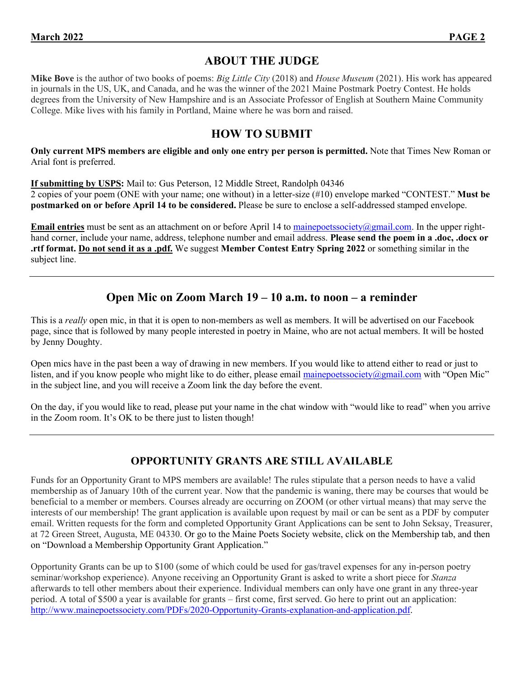## **ABOUT THE JUDGE**

**Mike Bove** is the author of two books of poems: *Big Little City* (2018) and *House Museum* (2021). His work has appeared in journals in the US, UK, and Canada, and he was the winner of the 2021 Maine Postmark Poetry Contest. He holds degrees from the University of New Hampshire and is an Associate Professor of English at Southern Maine Community College. Mike lives with his family in Portland, Maine where he was born and raised.

#### **HOW TO SUBMIT**

**Only current MPS members are eligible and only one entry per person is permitted.** Note that Times New Roman or Arial font is preferred.

**If submitting by USPS:** Mail to: Gus Peterson, 12 Middle Street, Randolph 04346

2 copies of your poem (ONE with your name; one without) in a letter-size (#10) envelope marked "CONTEST." **Must be postmarked on or before April 14 to be considered.** Please be sure to enclose a self-addressed stamped envelope.

**Email entries** must be sent as an attachment on or before April 14 to [mainepoetssociety@gmail.com.](mailto:mainepoetssociety@gmail.com) In the upper righthand corner, include your name, address, telephone number and email address. **Please send the poem in a .doc, .docx or .rtf format. Do not send it as a .pdf.** We suggest **Member Contest Entry Spring 2022** or something similar in the subject line.

# **Open Mic on Zoom March 19 – 10 a.m. to noon – a reminder**

This is a *really* open mic, in that it is open to non-members as well as members. It will be advertised on our Facebook page, since that is followed by many people interested in poetry in Maine, who are not actual members. It will be hosted by Jenny Doughty.

Open mics have in the past been a way of drawing in new members. If you would like to attend either to read or just to listen, and if you know people who might like to do either, please email [mainepoetssociety@gmail.com](mailto:mainepoetssociety@gmail.com) with "Open Mic" in the subject line, and you will receive a Zoom link the day before the event.

On the day, if you would like to read, please put your name in the chat window with "would like to read" when you arrive in the Zoom room. It's OK to be there just to listen though!

#### **OPPORTUNITY GRANTS ARE STILL AVAILABLE**

Funds for an Opportunity Grant to MPS members are available! The rules stipulate that a person needs to have a valid membership as of January 10th of the current year. Now that the pandemic is waning, there may be courses that would be beneficial to a member or members. Courses already are occurring on ZOOM (or other virtual means) that may serve the interests of our membership! The grant application is available upon request by mail or can be sent as a PDF by computer email. Written requests for the form and completed Opportunity Grant Applications can be sent to John Seksay, Treasurer, at 72 Green Street, Augusta, ME 04330. Or go to the Maine Poets Society website, click on the Membership tab, and then on "Download a Membership Opportunity Grant Application."

Opportunity Grants can be up to \$100 (some of which could be used for gas/travel expenses for any in-person poetry seminar/workshop experience). Anyone receiving an Opportunity Grant is asked to write a short piece for *Stanza* afterwards to tell other members about their experience. Individual members can only have one grant in any three-year period. A total of \$500 a year is available for grants – first come, first served. Go here to print out an application: [http://www.mainepoetssociety.com/PDFs/2020-Opportunity-Grants-explanation-and-application.pdf.](http://www.mainepoetssociety.com/PDFs/2020-Opportunity-Grants-explanation-and-application.pdf)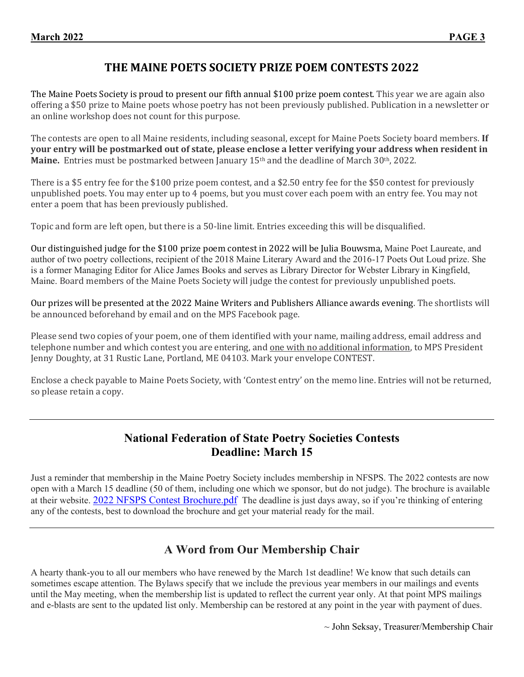#### **THE MAINE POETS SOCIETY PRIZE POEM CONTESTS 2022**

The Maine Poets Society is proud to present our fifth annual \$100 prize poem contest. This year we are again also offering a \$50 prize to Maine poets whose poetry has not been previously published. Publication in a newsletter or an online workshop does not count for this purpose.

The contests are open to all Maine residents, including seasonal, except for Maine Poets Society board members. **If your entry will be postmarked out of state, please enclose a letter verifying your address when resident in Maine.** Entries must be postmarked between January 15th and the deadline of March 30th, 2022.

There is a \$5 entry fee for the \$100 prize poem contest, and a \$2.50 entry fee for the \$50 contest for previously unpublished poets. You may enter up to 4 poems, but you must cover each poem with an entry fee. You may not enter a poem that has been previously published.

Topic and form are left open, but there is a 50-line limit. Entries exceeding this will be disqualified.

Our distinguished judge for the \$100 prize poem contest in 2022 will be Julia Bouwsma, Maine Poet Laureate, and author of two poetry collections, recipient of the 2018 Maine Literary Award and the 2016-17 Poets Out Loud prize. She is a former Managing Editor for Alice James Books and serves as Library Director for Webster Library in Kingfield, Maine. Board members of the Maine Poets Society will judge the contest for previously unpublished poets.

Our prizes will be presented at the 2022 Maine Writers and Publishers Alliance awards evening. The shortlists will be announced beforehand by email and on the MPS Facebook page.

Please send two copies of your poem, one of them identified with your name, mailing address, email address and telephone number and which contest you are entering, and <u>one with no additional information</u>, to MPS President Jenny Doughty, at 31 Rustic Lane, Portland, ME 04103. Mark your envelope CONTEST.

Enclose a check payable to Maine Poets Society, with 'Contest entry' on the memo line. Entries will not be returned, so please retain a copy.

#### **National Federation of State Poetry Societies Contests Deadline: March 15**

Just a reminder that membership in the Maine Poetry Society includes membership in NFSPS. The 2022 contests are now open with a March 15 deadline (50 of them, including one which we sponsor, but do not judge). The brochure is available at their website. 2022 [NFSPS Contest Brochure.pdf](http://www.nfsps.com/2022%20NFSPS%20Contest%20Brochure.pdf) The deadline is just days away, so if you're thinking of entering any of the contests, best to download the brochure and get your material ready for the mail.

#### **A Word from Our Membership Chair**

A hearty thank-you to all our members who have renewed by the March 1st deadline! We know that such details can sometimes escape attention. The Bylaws specify that we include the previous year members in our mailings and events until the May meeting, when the membership list is updated to reflect the current year only. At that point MPS mailings and e-blasts are sent to the updated list only. Membership can be restored at any point in the year with payment of dues.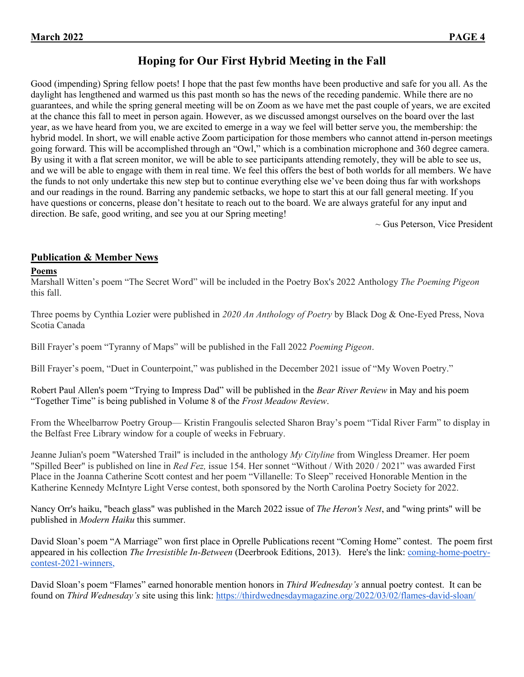## **Hoping for Our First Hybrid Meeting in the Fall**

Good (impending) Spring fellow poets! I hope that the past few months have been productive and safe for you all. As the daylight has lengthened and warmed us this past month so has the news of the receding pandemic. While there are no guarantees, and while the spring general meeting will be on Zoom as we have met the past couple of years, we are excited at the chance this fall to meet in person again. However, as we discussed amongst ourselves on the board over the last year, as we have heard from you, we are excited to emerge in a way we feel will better serve you, the membership: the hybrid model. In short, we will enable active Zoom participation for those members who cannot attend in-person meetings going forward. This will be accomplished through an "Owl," which is a combination microphone and 360 degree camera. By using it with a flat screen monitor, we will be able to see participants attending remotely, they will be able to see us, and we will be able to engage with them in real time. We feel this offers the best of both worlds for all members. We have the funds to not only undertake this new step but to continue everything else we've been doing thus far with workshops and our readings in the round. Barring any pandemic setbacks, we hope to start this at our fall general meeting. If you have questions or concerns, please don't hesitate to reach out to the board. We are always grateful for any input and direction. Be safe, good writing, and see you at our Spring meeting!

 $\sim$  Gus Peterson, Vice President

#### **Publication & Member News**

#### **Poems**

Marshall Witten's poem "The Secret Word" will be included in the Poetry Box's 2022 Anthology *The Poeming Pigeon* this fall.

Three poems by Cynthia Lozier were published in *2020 An Anthology of Poetry* by Black Dog & One-Eyed Press, Nova Scotia Canada

Bill Frayer's poem "Tyranny of Maps" will be published in the Fall 2022 *Poeming Pigeon*.

Bill Frayer's poem, "Duet in Counterpoint," was published in the December 2021 issue of "My Woven Poetry."

Robert Paul Allen's poem "Trying to Impress Dad" will be published in the *Bear River Review* in May and his poem "Together Time" is being published in Volume 8 of the *Frost Meadow Review*.

From the Wheelbarrow Poetry Group— Kristin Frangoulis selected Sharon Bray's poem "Tidal River Farm" to display in the Belfast Free Library window for a couple of weeks in February.

Jeanne Julian's poem "Watershed Trail" is included in the anthology *My Cityline* from Wingless Dreamer. Her poem "Spilled Beer" is published on line in *Red Fez,* issue 154. Her sonnet "Without / With 2020 / 2021" was awarded First Place in the Joanna Catherine Scott contest and her poem "Villanelle: To Sleep" received Honorable Mention in the Katherine Kennedy McIntyre Light Verse contest, both sponsored by the North Carolina Poetry Society for 2022.

Nancy Orr's haiku, "beach glass" was published in the March 2022 issue of *The Heron's Nest*, and "wing prints" will be published in *Modern Haiku* this summer.

David Sloan's poem "A Marriage" won first place in Oprelle Publications recent "Coming Home" contest. The poem first appeared in his collection *The Irresistible In-Between* (Deerbrook Editions, 2013). Here's the link: [coming-home-poetry](https://oprelle.com/pages/coming-home-poetry-contest-2021-winners)[contest-2021-winners,](https://oprelle.com/pages/coming-home-poetry-contest-2021-winners)

David Sloan's poem "Flames" earned honorable mention honors in *Third Wednesday's* annual poetry contest. It can be found on *Third Wednesday's* site using this link: <https://thirdwednesdaymagazine.org/2022/03/02/flames-david-sloan/>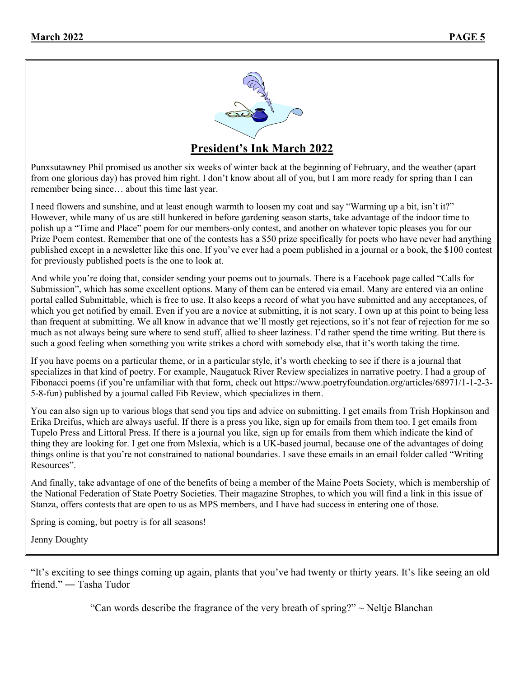

Punxsutawney Phil promised us another six weeks of winter back at the beginning of February, and the weather (apart from one glorious day) has proved him right. I don't know about all of you, but I am more ready for spring than I can remember being since… about this time last year.

I need flowers and sunshine, and at least enough warmth to loosen my coat and say "Warming up a bit, isn't it?" However, while many of us are still hunkered in before gardening season starts, take advantage of the indoor time to polish up a "Time and Place" poem for our members-only contest, and another on whatever topic pleases you for our Prize Poem contest. Remember that one of the contests has a \$50 prize specifically for poets who have never had anything published except in a newsletter like this one. If you've ever had a poem published in a journal or a book, the \$100 contest for previously published poets is the one to look at.

And while you're doing that, consider sending your poems out to journals. There is a Facebook page called "Calls for Submission", which has some excellent options. Many of them can be entered via email. Many are entered via an online portal called Submittable, which is free to use. It also keeps a record of what you have submitted and any acceptances, of which you get notified by email. Even if you are a novice at submitting, it is not scary. I own up at this point to being less than frequent at submitting. We all know in advance that we'll mostly get rejections, so it's not fear of rejection for me so much as not always being sure where to send stuff, allied to sheer laziness. I'd rather spend the time writing. But there is such a good feeling when something you write strikes a chord with somebody else, that it's worth taking the time.

If you have poems on a particular theme, or in a particular style, it's worth checking to see if there is a journal that specializes in that kind of poetry. For example, Naugatuck River Review specializes in narrative poetry. I had a group of Fibonacci poems (if you're unfamiliar with that form, check out https://www.poetryfoundation.org/articles/68971/1-1-2-3-5-8-fun) published by a journal called Fib Review, which specializes in them.

You can also sign up to various blogs that send you tips and advice on submitting. I get emails from Trish Hopkinson and Erika Dreifus, which are always useful. If there is a press you like, sign up for emails from them too. I get emails from Tupelo Press and Littoral Press. If there is a journal you like, sign up for emails from them which indicate the kind of thing they are looking for. I get one from Mslexia, which is a UK-based journal, because one of the advantages of doing things online is that you're not constrained to national boundaries. I save these emails in an email folder called "Writing Resources".

And finally, take advantage of one of the benefits of being a member of the Maine Poets Society, which is membership of the National Federation of State Poetry Societies. Their magazine Strophes, to which you will find a link in this issue of Stanza, offers contests that are open to us as MPS members, and I have had success in entering one of those.

Spring is coming, but poetry is for all seasons!

Jenny Doughty

"It's exciting to see things coming up again, plants that you've had twenty or thirty years. It's like seeing an old friend." ― Tasha Tudor

"Can words describe the fragrance of the very breath of spring?"  $\sim$  Neltje Blanchan